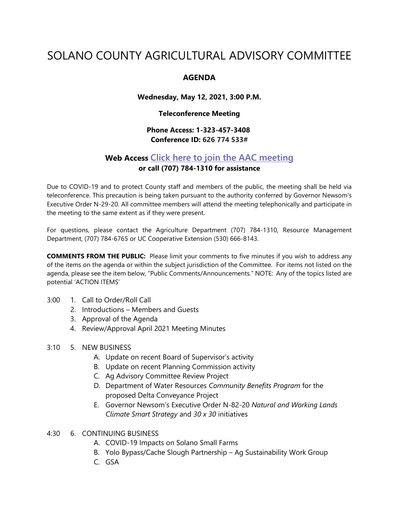# SOLANO COUNTY AGRICULTURAL ADVISORY COMMITTEE

### **AGENDA**

**Wednesday, May 12, 2021, 3:00 P.M.**

**Teleconference Meeting**

## **Phone Access: 1-323-457-3408 Conference ID: 626 774 533#**

# **Web Access [Click here to join the AAC meeting](https://teams.microsoft.com/l/meetup-join/19%3ameeting_MDI1ZDEyYmItY2I4Zi00MWMxLWIxM2ItNzRiYmRmMWY5ZGNk%40thread.v2/0?context=%7b%22Tid%22%3a%225e7f20ac-e5f1-4f83-8c3b-ce44b8486421%22%2c%22Oid%22%3a%229b7e0b10-9feb-4114-92ef-db737a66fd13%22%7d) or call (707) 784-1310 for assistance**

Due to COVID-19 and to protect County staff and members of the public, the meeting shall be held via teleconference. This precaution is being taken pursuant to the authority conferred by Governor Newsom's Executive Order N-29-20. All committee members will attend the meeting telephonically and participate in the meeting to the same extent as if they were present.

For questions, please contact the Agriculture Department (707) 784-1310, Resource Management Department, (707) 784-6765 or UC Cooperative Extension (530) 666-8143.

**COMMENTS FROM THE PUBLIC:** Please limit your comments to five minutes if you wish to address any of the items on the agenda or within the subject jurisdiction of the Committee. For items not listed on the agenda, please see the item below, "Public Comments/Announcements." NOTE: Any of the topics listed are potential 'ACTION ITEMS'

- 3:00 1. Call to Order/Roll Call
	- 2. Introductions Members and Guests
	- 3. Approval of the Agenda
	- 4. Review/Approval April 2021 Meeting Minutes
- 3:10 5. NEW BUSINESS
	- A. Update on recent Board of Supervisor's activity
	- B. Update on recent Planning Commission activity
	- C. Ag Advisory Committee Review Project
	- D. Department of Water Resources *Community Benefits Program* for the proposed Delta Conveyance Project
	- E. Governor Newsom's Executive Order N-82-20 *Natural and Working Lands Climate Smart Strategy* and *30 x 30* initiatives
- 4:30 6. CONTINUING BUSINESS
	- A. COVID-19 Impacts on Solano Small Farms
	- B. Yolo Bypass/Cache Slough Partnership Ag Sustainability Work Group
	- C. GSA